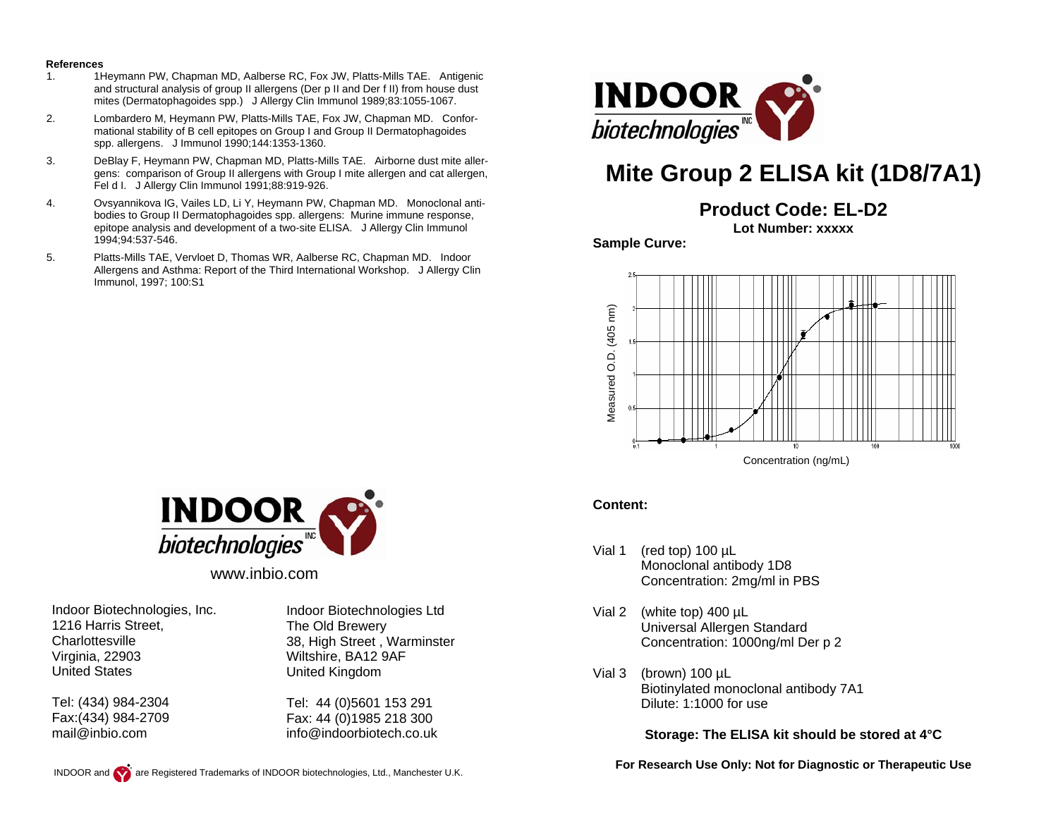#### **References**

- 1. 1Heymann PW, Chapman MD, Aalberse RC, Fox JW, Platts-Mills TAE. Antigenic and structural analysis of group II allergens (Der p II and Der f II) from house dust mites (Dermatophagoides spp.) J Allergy Clin Immunol 1989;83:1055-1067.
- 2. Lombardero M, Heymann PW, Platts-Mills TAE, Fox JW, Chapman MD. Conformational stability of B cell epitopes on Group I and Group II Dermatophagoides spp. allergens. J Immunol 1990;144:1353-1360.
- 3. DeBlay F, Heymann PW, Chapman MD, Platts-Mills TAE. Airborne dust mite allergens: comparison of Group II allergens with Group I mite allergen and cat allergen, Fel d I. J Allergy Clin Immunol 1991;88:919-926.
- 4. Ovsyannikova IG, Vailes LD, Li Y, Heymann PW, Chapman MD. Monoclonal antibodies to Group II Dermatophagoides spp. allergens: Murine immune response, epitope analysis and development of a two-site ELISA. J Allergy Clin Immunol 1994;94:537-546.
- 5. Platts-Mills TAE, Vervloet D, Thomas WR, Aalberse RC, Chapman MD. Indoor Allergens and Asthma: Report of the Third International Workshop. J Allergy Clin Immunol, 1997; 100:S1



# **Mite Group 2 ELISA kit (1D8/7A1)**

**Product Code: EL-D2**

**Lot Number: xxxxx** 

**Sample Curve:** 



### **Content:**

- Vial 1 (red top) 100 µL Monoclonal antibody 1D8 Concentration: 2mg/ml in PBS
- Vial 2 (white top) 400 µL Universal Allergen Standard Concentration: 1000ng/ml Der p 2
- Vial 3 (brown) 100 µL Biotinylated monoclonal antibody 7A1 Dilute: 1:1000 for use

**Storage: The ELISA kit should be stored at 4°C** 

**For Research Use Only: Not for Diagnostic or Therapeutic Use** 



www.inbio.com

Indoor Biotechnologies, Inc. 1216 Harris Street, **Charlottesville** Virginia, 22903 United States

Tel: (434) 984-2304 Fax:(434) 984-2709 mail@inbio.com

Indoor Biotechnologies Ltd The Old Brewery 38, High Street , Warminster Wiltshire, BA12 9AF United Kingdom

Tel: 44 (0)5601 153 291 Fax: 44 (0)1985 218 300 info@indoorbiotech.co.uk